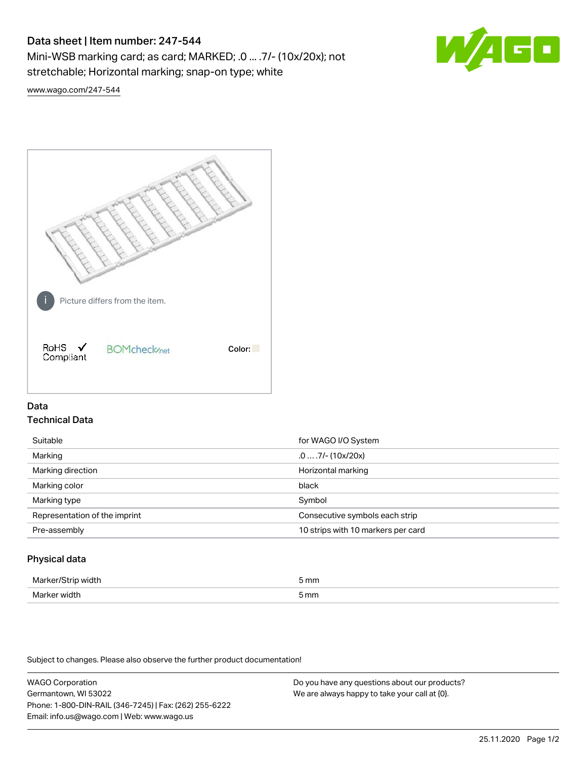# Data sheet | Item number: 247-544

Mini-WSB marking card; as card; MARKED; .0 ... .7/- (10x/20x); not stretchable; Horizontal marking; snap-on type; white



[www.wago.com/247-544](http://www.wago.com/247-544)



## Data Technical Data

| Suitable                      | for WAGO I/O System                |
|-------------------------------|------------------------------------|
| Marking                       | $.0 \ldots .7$ /- (10x/20x)        |
| Marking direction             | Horizontal marking                 |
| Marking color                 | black                              |
| Marking type                  | Symbol                             |
| Representation of the imprint | Consecutive symbols each strip     |
| Pre-assembly                  | 10 strips with 10 markers per card |
|                               |                                    |

## Physical data

| Mar                      | 5 mm |
|--------------------------|------|
| M <sub>cr</sub><br>width | 5 mm |

Subject to changes. Please also observe the further product documentation!

WAGO Corporation Germantown, WI 53022 Phone: 1-800-DIN-RAIL (346-7245) | Fax: (262) 255-6222 Email: info.us@wago.com | Web: www.wago.us Do you have any questions about our products? We are always happy to take your call at {0}.